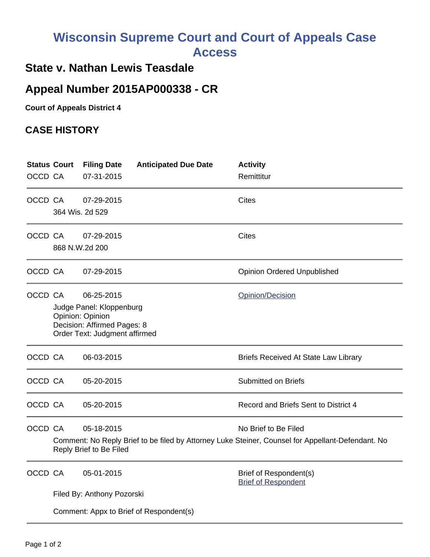## **Wisconsin Supreme Court and Court of Appeals Case Access**

## **State v. Nathan Lewis Teasdale**

## **Appeal Number 2015AP000338 - CR**

**Court of Appeals District 4**

## **CASE HISTORY**

| OCCD CA | <b>Status Court</b>                                                                                                                                                | <b>Filing Date</b><br>07-31-2015         | <b>Anticipated Due Date</b> | <b>Activity</b><br>Remittitur                        |  |
|---------|--------------------------------------------------------------------------------------------------------------------------------------------------------------------|------------------------------------------|-----------------------------|------------------------------------------------------|--|
| OCCD CA |                                                                                                                                                                    | 07-29-2015<br>364 Wis. 2d 529            |                             | <b>Cites</b>                                         |  |
| OCCD CA |                                                                                                                                                                    | 07-29-2015<br>868 N.W.2d 200             |                             | <b>Cites</b>                                         |  |
| OCCD CA |                                                                                                                                                                    | 07-29-2015                               |                             | <b>Opinion Ordered Unpublished</b>                   |  |
| OCCD CA | 06-25-2015<br>Opinion/Decision<br>Judge Panel: Kloppenburg<br>Opinion: Opinion<br>Decision: Affirmed Pages: 8<br>Order Text: Judgment affirmed                     |                                          |                             |                                                      |  |
| OCCD CA |                                                                                                                                                                    | 06-03-2015                               |                             | <b>Briefs Received At State Law Library</b>          |  |
| OCCD CA |                                                                                                                                                                    | 05-20-2015                               |                             | <b>Submitted on Briefs</b>                           |  |
| OCCD CA |                                                                                                                                                                    | 05-20-2015                               |                             | Record and Briefs Sent to District 4                 |  |
| OCCD CA | 05-18-2015<br>No Brief to Be Filed<br>Comment: No Reply Brief to be filed by Attorney Luke Steiner, Counsel for Appellant-Defendant. No<br>Reply Brief to Be Filed |                                          |                             |                                                      |  |
| OCCD CA |                                                                                                                                                                    | 05-01-2015<br>Filed By: Anthony Pozorski |                             | Brief of Respondent(s)<br><b>Brief of Respondent</b> |  |
|         | Comment: Appx to Brief of Respondent(s)                                                                                                                            |                                          |                             |                                                      |  |